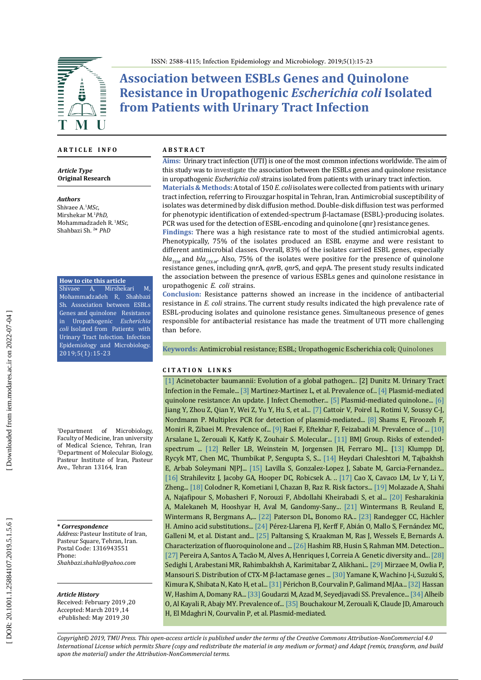

**Association between ESBLs Genes and Quinolone Resistance in Uropathogenic** *Escherichia coli* **Isolated from Patients with Urinary Tract Infection**

### **A R T I C L E I N F O**

*Article Type* **Original Research**

*Authors* Shivaee A. 1 *MSc*, Mirshekar M. 1 *PhD,* Mohammadzadeh R.<sup>1</sup>*MSc*, Shahbazi Sh. 2 \* *PhD*

**How to cite this article**

Shivaee A, Mirshekari M, Mohammadzadeh R, Shahbazi Sh. Association between ESBLs Genes and quinolone Resistance<br>in Uropathogenic *Escherichia* in Uropathogenic *Escherichia coli* Isolated from Patients with Urinary Tract Infection. Infection Epidemiology and Microbiology. 2019;5(1):15-23

1 Department of Microbiology, Faculty of Medicine, Iran university of Medical Science, Tehran, Iran 2 Department of Molecular Biology, Pasteur Institute of Iran, Pasteur Ave., Tehran 13164, Iran

**\*** *Correspondence*

*Address:* Pasteur Institute of Iran, Pasteur Square, Tehran, Iran. Postal Code: 1316943551 Phone: *Shahbazi.shahla@yahoo.com*

#### *Article History*

Received: February 2019 ,20 Accepted: March 2019 ,14 ePublished: May 2019 ,30

#### **A B S T R A C T**

**Aims:** Urinary tract infection (UTI) is one of the most common infections worldwide. The aim of this study was to investigate the association between the ESBLs genes and quinolone resistance in uropathogenic *Escherichia coli* strains isolated from patients with urinary tract infection.

**Materials & Methods:** A total of 150 *E. coli* isolates were collected from patients with urinary tract infection, referring to Firouzgar hospital in Tehran, Iran. Antimicrobial susceptibility of isolates was determined by disk diffusion method. Double-disk diffusion test was performed for phenotypic identification of extended-spectrum β-lactamase (ESBL)-producing isolates. PCR was used for the detection of ESBL-encoding and quinolone (qnr) resistance genes.

**Findings:** There was a high resistance rate to most of the studied antimicrobial agents. Phenotypically, 75% of the isolates produced an ESBL enzyme and were resistant to different antimicrobial classes. Overall, 83% of the isolates carried ESBL genes, especially bla<sub>TEM</sub> and bla<sub>CTX-M</sub>. Also, 75% of the isolates were positive for the presence of quinolone resistance genes, including *qnr*A, *qnr*B, *qnr*S, and *qep*A. The present study results indicated the association between the presence of various ESBLs genes and quinolone resistance in uropathogenic *E. coli* strains .

**Conclusion:** Resistance patterns showed an increase in the incidence of antibacterial resistance in *E. coli* strains. The current study results indicated the high prevalence rate of ESBL-producing isolates and quinolone resistance genes. Simultaneous presence of genes responsible for antibacterial resistance has made the treatment of UTI more challenging than before.

**Keywords:** Antimicrobial resistance; ESBL; Uropathogenic Escherichia coli; Quinolones

### **C I T A T I O N L I N K S**

[\[1\]](https://www.ncbi.nlm.nih.gov/pubmed/24376225) Acinetobacter baumannii: Evolution of a global pathogen... [2] Dunitz M. Urinary Tract Infection in the Female... [\[3\]](https://www.ncbi.nlm.nih.gov/pubmed/22365240) Martinez-Martinez L, et al. Prevalence of... [\[4\]](https://www.ncbi.nlm.nih.gov/pubmed/20886256) Plasmid-mediated quinolone resistance: An update. J Infect Chemother... [\[5\]](https://www.ncbi.nlm.nih.gov/pubmed/20226333) Plasmid-mediated quinolone... [\[6\]](https://www.ncbi.nlm.nih.gov/pubmed/18299311) Jiang Y, Zhou Z, Qian Y, Wei Z, Yu Y, Hu S, et al... [\[7\]](https://www.ncbi.nlm.nih.gov/pubmed/17561500) Cattoir V, Poirel L, Rotimi V, Soussy C-J, Nordmann P. Multiplex PCR for detection of plasmid-mediated... [\[8\]](https://www.ncbi.nlm.nih.gov/pmc/articles/PMC4649097/) Shams E, Firoozeh F, Moniri R, Zibaei M. Prevalence of... [\[9\]](http://jjmicrobiol.com/en/articles/56363.html) Raei F, Eftekhar F, Feizabadi M. Prevalence of ... [\[10\]](https://www.ajol.info/index.php/aju/article/view/124926) Arsalane L, Zerouali K, Katfy K, Zouhair S. Molecular... [\[11\]](https://www.ncbi.nlm.nih.gov/pubmed/18337463) BMJ Group. Risks of extendedspectrum ... [\[12\]](https://pdfs.semanticscholar.org/abbd/78c9fa4a5afdf57fbd033e8ab04f66d09a19.pdf) Reller LB, Weinstein M, Jorgensen JH, Ferraro MJ... [[13\]](https://www.ncbi.nlm.nih.gov/pubmed/16926402) Klumpp DJ, Rycyk MT, Chen MC, Thumbikat P, Sengupta S, S... [\[14\]](http://pajoohande.sbmu.ac.ir/browse.php?a_id=2175&sid=1&slc_lang=en) Heydari Chaleshtori M, Tajbakhsh E, Arbab Soleymani NJPJ... [\[15\]](https://www.ncbi.nlm.nih.gov/pubmed/18029415) Lavilla S, Gonzalez-Lopez J, Sabate M, Garcia-Fernandez... [\[16\]](https://www.ncbi.nlm.nih.gov/pubmed/19822894) Strahilevitz J, Jacoby GA, Hooper DC, Robicsek A. .. [\[17\]](https://www.ncbi.nlm.nih.gov/pubmed/21525216) Cao X, Cavaco LM, Lv Y, Li Y, Zheng... [\[18\]](https://www.ncbi.nlm.nih.gov/pubmed/18193386) Colodner R, Kometiani I, Chazan B, Raz R. Risk factors... [\[19\]](http://journal.fums.ac.ir/browse.php?a_id=597&sid=1&slc_lang=en) Molazade A, Shahi A, Najafipour S, Mobasheri F, Norouzi F, Abdollahi Kheirabadi S, et al... [\[20\]](http://journal.bums.ac.ir/browse.php?a_id=850&sid=1&slc_lang=en) Fesharakinia A, Malekaneh M, Hooshyar H, Aval M, Gandomy-Sany... [\[21\]](https://www.ncbi.nlm.nih.gov/pubmed/22971154) Wintermans B, Reuland E, Wintermans R, Bergmans A,... [\[22\]](https://www.ncbi.nlm.nih.gov/pubmed/16223952) Paterson DL, Bonomo RA... [\[23\]](https://www.ncbi.nlm.nih.gov/pubmed/11328764) Randegger CC, Hächler H. Amino acid substitutions... [\[24\]](https://www.ncbi.nlm.nih.gov/pmc/articles/PMC3165300/) Pérez-Llarena FJ, Kerff F, Abián O, Mallo S, Fernández MC, Galleni M, et al. Distant and... [\[25\]](https://www.ncbi.nlm.nih.gov/pubmed/22991424) Paltansing S, Kraakman M, Ras J, Wessels E, Bernards A. Characterization of fluoroquinolone and ... [\[26\]](https://www.ncbi.nlm.nih.gov/pubmed/21913496) Hashim RB, Husin S, Rahman MM. Detection... [\[27\]](https://www.ncbi.nlm.nih.gov/pubmed/23714246) Pereira A, Santos A, Tacão M, Alves A, Henriques I, Correia A. Genetic diversity and... [\[28\]](https://www.ncbi.nlm.nih.gov/pmc/articles/PMC4584072/) Sedighi I, Arabestani MR, Rahimbakhsh A, Karimitabar Z, Alikhani... [\[29\]](https://academic.oup.com/labmed/article/40/12/724/2504762) Mirzaee M, Owlia P, Mansouri S. Distribution of CTX-M β-lactamase genes ... [\[30\]](https://www.ncbi.nlm.nih.gov/pmc/articles/PMC2043241/) Yamane K, Wachino J-i, Suzuki S, Kimura K, Shibata N, Kato H, et al... [\[31\]](https://www.ncbi.nlm.nih.gov/pubmed/17470656) Périchon B, Courvalin P, Galimand MJAa... [\[32\]](https://www.ncbi.nlm.nih.gov/pubmed/23183470) Hassan W, Hashim A, Domany RA... [\[33\]](https://www.ncbi.nlm.nih.gov/pubmed/26301114) Goudarzi M, Azad M, Seyedjavadi SS. Prevalence... [\[34\]](https://www.google.com/url?sa=t&rct=j&q=&esrc=s&source=web&cd=2&cad=rja&uact=8&ved=2ahUKEwjsgsbEj7DiAhXSGuwKHSsgCVoQFjABegQIARAC&url=https%3A%2F%2Fneoscriber.org%2Fcdn%2Fdl%2Ff2fbd18e-50b8-11e7-8314-573c3adc93b1&usg=AOvVaw1YIDki7100tmpiqsvv36hO) Alheib O, Al Kayali R, Abajy MY. Prevalence of... [\[35\]](https://www.ncbi.nlm.nih.gov/pubmed/21252459) Bouchakour M, Zerouali K, Claude JD, Amarouch H, El Mdaghri N, Courvalin P, et al. Plasmid-mediated.

*Copyright© 2019, TMU Press. This open-access article is published under the terms of the Creative Commons Attribution-NonCommercial 4.0 International License which permits Share (copy and redistribute the material in any medium or format) and Adapt (remix, transform, and build upon the material) under the Attribution-NonCommercial terms.*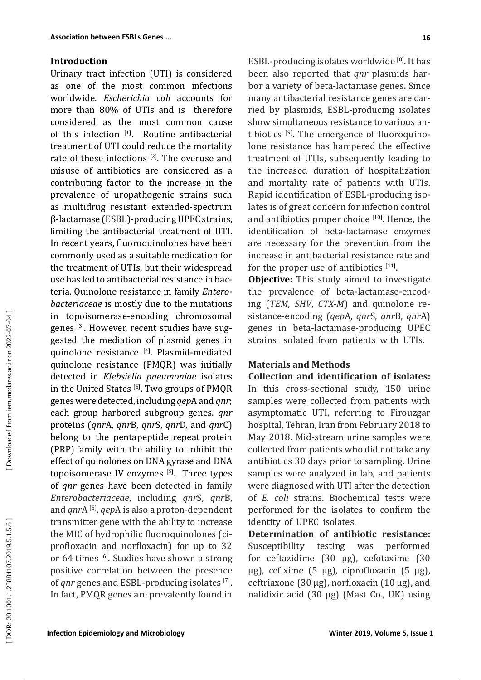## **Introduction**

Urinary tract infection (UTI) is considered as one of the most common infections worldwide. *Escherichia coli* accounts for more than 80% of UTIs and is therefore considered as the most common cause of this infection  $[1]$ . Routine antibacterial treatment of UTI could reduce the mortality rate of these infections [2]. The overuse and misuse of antibiotics are considered as a contributing factor to the increase in the prevalence of uropathogenic strains such as multidrug resistant extended-spectrum β-lactamase (ESBL)-producing UPEC strains, limiting the antibacterial treatment of UTI. In recent years, fluoroquinolones have been commonly used as a suitable medication for the treatment of UTIs, but their widespread use has led to antibacterial resistance in bac teria. Quinolone resistance in family *Entero bacteriaceae* is mostly due to the mutations in topoisomerase-encoding chromosomal genes <sup>[3]</sup>. However, recent studies have suggested the mediation of plasmid genes in quinolone resistance [4]. Plasmid-mediated quinolone resistance (PMQR) was initially detected in *Klebsiella pneumoniae* isolates in the United States [5]. Two groups of PMQR genes were detected, including *qep*A and *qnr*; each group harbored subgroup genes. *qnr* proteins (*qnr*A, *qnr*B, *qnr*S, *qnr*D, and *qnr*C) belong to the pentapeptide repeat protein (PRP) family with the ability to inhibit the effect of quinolones on DNA gyrase and DNA topoisomerase IV enzymes  $[5]$ . Three types of *qnr* genes have been detected in family *Enterobacteriaceae* , including *qnr*S, *qnr*B, and *qnr*A [5]. *qep*A is also a proton-dependent transmitter gene with the ability to increase the MIC of hydrophilic fluoroquinolones (ci profloxacin and norfloxacin) for up to 32 or 64 times <sup>[6]</sup>. Studies have shown a strong positive correlation between the presence of *qnr* genes and ESBL-producing isolates [7]. In fact, PMQR genes are prevalently found in

ESBL-producing isolates worldwide [8]. It has been also reported that *qnr* plasmids har bor a variety of beta-lactamase genes. Since many antibacterial resistance genes are car ried by plasmids, ESBL-producing isolates show simultaneous resistance to various an tibiotics <sup>[9]</sup>. The emergence of fluoroquinolone resistance has hampered the effective treatment of UTIs, subsequently leading to the increased duration of hospitalization and mortality rate of patients with UTIs. Rapid identification of ESBL-producing iso lates is of great concern for infection control and antibiotics proper choice [10]. Hence, the identification of beta-lactamase enzymes are necessary for the prevention from the increase in antibacterial resistance rate and for the proper use of antibiotics  $[11]$ .

**Objective:** This study aimed to investigate the prevalence of beta-lactamase-encod ing (*TEM*, *SHV*, *CTX-M*) and quinolone re sistance-encoding (*qep*A, *qnr*S, *qnr*B, *qnr*A) genes in beta-lactamase-producing UPEC strains isolated from patients with UTIs.

## **Materials and Methods**

**Collection and identification of isolates:**  In this cross-sectional study, 150 urine samples were collected from patients with asymptomatic UTI, referring to Firouzgar hospital, Tehran, Iran from February 2018 to May 2018. Mid-stream urine samples were collected from patients who did not take any antibiotics 30 days prior to sampling. Urine samples were analyzed in lab, and patients were diagnosed with UTI after the detection of *E. coli* strains. Biochemical tests were performed for the isolates to confirm the identity of UPEC isolates.

**Determination of antibiotic resistance:**  Susceptibility testing was performed for ceftazidime (30 µg), cefotaxime (30 µg), cefixime (5 µg), ciprofloxacin (5 µg), ceftriaxone (30  $\mu$ g), norfloxacin (10  $\mu$ g), and nalidixic acid (30 µg) (Mast Co., UK) using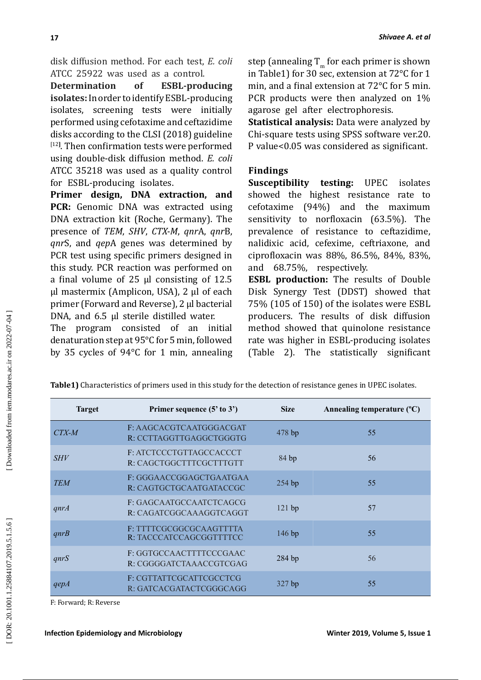disk diffusion method. For each test, *E. coli* ATCC 25922 was used as a control.<br>**Determination** of **ESBL-proc** 

**ESBL-producing isolates:** In order to identify ESBL-producing isolates, screening tests were initially performed using cefotaxime and ceftazidime disks according to the CLSI (2018) guideline [12 **]** . Then confirmation tests were performed using double-disk diffusion method. *E. coli* ATCC 35218 was used as a quality control for ESBL-producing isolates.

**Primer design, DNA extraction, and PCR:** Genomic DNA was extracted using DNA extraction kit (Roche, Germany). The presence of *TEM*, *SHV*, *CTX-M*, *qnr*A, *qnr*B, *qnr*S, and *qep*A genes was determined by PCR test using specific primers designed in this study. PCR reaction was performed on a final volume of 25 µl consisting of 12.5 µl mastermix (Amplicon, USA), 2 µl of each primer (Forward and Reverse), 2 µl bacterial DNA, and 6.5 µl sterile distilled water.

The program consisted of an initial denaturation step at 95°C for 5 min, followed by 35 cycles of 94°C for 1 min, annealing

step (annealing  $T_m$  for each primer is shown in Table1) for 30 sec, extension at 72°C for 1 min, and a final extension at 72°C for 5 min. PCR products were then analyzed on 1% agarose gel after electrophoresis.

**Statistical analysis:** Data were analyzed by Chi-square tests using SPSS software ver.20. P value<0.05 was considered as significant.

# **Findings**

**Susceptibility testing:** UPEC isolates showed the highest resistance rate to cefotaxime (94%) and the maximum sensitivity to norfloxacin (63.5%). The prevalence of resistance to ceftazidime, nalidixic acid, cefexime, ceftriaxone, and ciprofloxacin was 88%, 86.5%, 84%, 83%, and 68.75%, respectively.

**ESBL production:** The results of Double Disk Synergy Test (DDST) showed that 75% (105 of 150) of the isolates were ESBL producers. The results of disk diffusion method showed that quinolone resistance rate was higher in ESBL-producing isolates (Table 2). The statistically significant

| <b>Target</b> | Primer sequence (5' to 3')                         | <b>Size</b> | Annealing temperature (°C) |
|---------------|----------------------------------------------------|-------------|----------------------------|
| $CTX-M$       | F: AAGCACGTCAATGGGACGAT<br>R: CCTTAGGTTGAGGCTGGGTG | 478 bp      | 55                         |
| <b>SHV</b>    | F: ATCTCCCTGTTAGCCACCCT<br>R: CAGCTGGCTTTCGCTTTGTT | 84bp        | 56                         |
| <b>TEM</b>    | F: GGGAACCGGAGCTGAATGAA<br>R: CAGTGCTGCAATGATACCGC | 254 bp      | 55                         |
| qnrA          | F: GAGCAATGCCAATCTCAGCG<br>R: CAGATCGGCAAAGGTCAGGT | 121 bp      | 57                         |
| qnrB          | F: TTTTCGCGGCGCAAGTTTTA<br>R: TACCCATCCAGCGGTTTTCC | $146$ bp    | 55                         |
| qnrS          | F: GGTGCCAACTTTTCCCGAAC<br>R: CGGGGATCTAAACCGTCGAG | 284 bp      | 56                         |
| qepA          | F: CGTTATTCGCATTCGCCTCG<br>R: GATCACGATACTCGGGCAGG | $327$ bp    | 55                         |

**Table1)** Characteristics of primers used in this study for the detection of resistance genes in UPEC isolates.

F: Forward; R: Reverse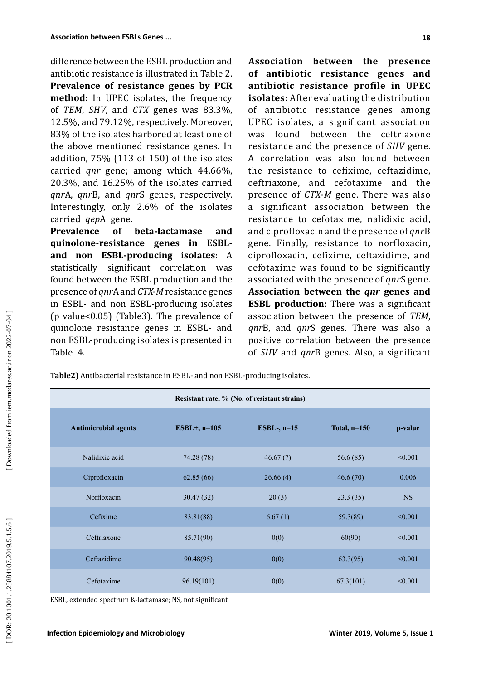difference between the ESBL production and antibiotic resistance is illustrated in Table 2. **Prevalence of resistance genes by PCR method:** In UPEC isolates, the frequency of *TEM*, *SHV*, and *CTX* genes was 83.3%, 12.5%, and 79.12%, respectively. Moreover, 83% of the isolates harbored at least one of the above mentioned resistance genes. In addition, 75% (113 of 150) of the isolates carried *qnr* gene; among which 44.66%, 20.3%, and 16.25% of the isolates carried *qnr*A, *qnr*B, and *qnr*S genes, respectively. Interestingly, only 2.6% of the isolates carried *qep*A gene.

**Prevalence of beta-lactamase and quinolone-resistance genes in ESBLand non ESBL-producing isolates:** A statistically significant correlation was found between the ESBL production and the presence of *qnr*A and *CTX-M* resistance genes in ESBL- and non ESBL-producing isolates (p value<0.05) (Table3). The prevalence of quinolone resistance genes in ESBL- and non ESBL-producing isolates is presented in Table 4.

**Association between the presence of antibiotic resistance genes and antibiotic resistance profile in UPEC isolates:** After evaluating the distribution of antibiotic resistance genes among UPEC isolates, a significant association was found between the ceftriaxone resistance and the presence of *SHV* gene. A correlation was also found between the resistance to cefixime, ceftazidime, ceftriaxone, and cefotaxime and the presence of *CTX-M* gene. There was also a significant association between the resistance to cefotaxime, nalidixic acid, and ciprofloxacin and the presence of *qnr*B gene. Finally, resistance to norfloxacin, ciprofloxacin, cefixime, ceftazidime, and cefotaxime was found to be significantly associated with the presence of *qnr*S gene. **Association between the** *qnr* **genes and ESBL production:** There was a significant association between the presence of *TEM*, *qnr*B, and *qnr*S genes. There was also a positive correlation between the presence of *SHV* and *qnr*B genes. Also, a significant

**Table2)** Antibacterial resistance in ESBL- and non ESBL-producing isolates.

| Resistant rate, % (No. of resistant strains) |                 |               |                |           |  |  |
|----------------------------------------------|-----------------|---------------|----------------|-----------|--|--|
| <b>Antimicrobial agents</b>                  | $ESBL+$ , n=105 | ESBL-, $n=15$ | Total, $n=150$ | p-value   |  |  |
| Nalidixic acid                               | 74.28 (78)      | 46.67(7)      | 56.6(85)       | < 0.001   |  |  |
| Ciprofloxacin                                | 62.85(66)       | 26.66(4)      | 46.6(70)       | 0.006     |  |  |
| Norfloxacin                                  | 30.47(32)       | 20(3)         | 23.3(35)       | <b>NS</b> |  |  |
| Cefixime                                     | 83.81(88)       | 6.67(1)       | 59.3(89)       | < 0.001   |  |  |
| Ceftriaxone                                  | 85.71(90)       | 0(0)          | 60(90)         | < 0.001   |  |  |
| Ceftazidime                                  | 90.48(95)       | 0(0)          | 63.3(95)       | < 0.001   |  |  |
| Cefotaxime                                   | 96.19(101)      | 0(0)          | 67.3(101)      | < 0.001   |  |  |

ESBL, extended spectrum ß-lactamase; NS, not significant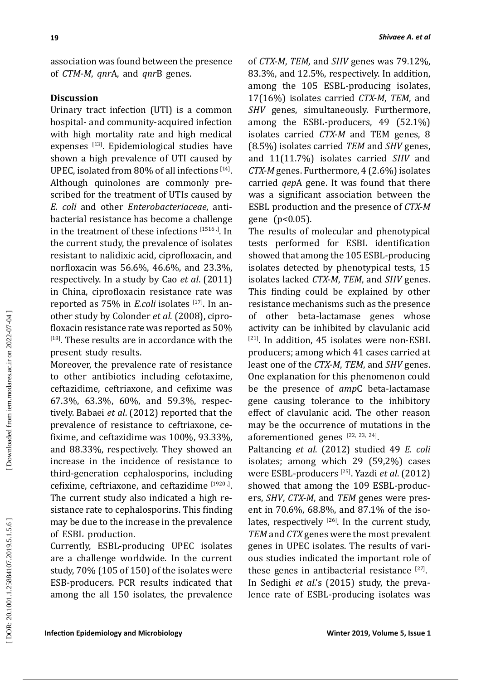association was found between the presence of *CTM-M*, *qnr*A, and *qnr*B genes.

# **Discussion**

Urinary tract infection (UTI) is a common hospital- and community-acquired infection with high mortality rate and high medical expenses <sup>[13]</sup>. Epidemiological studies have shown a high prevalence of UTI caused by UPEC, isolated from  $80\%$  of all infections  $144$ . Although quinolones are commonly pre scribed for the treatment of UTIs caused by *E. coli* and other *Enterobacteriaceae*, anti bacterial resistance has become a challenge in the treatment of these infections <sup>[1516,]</sup>. In the current study, the prevalence of isolates resistant to nalidixic acid, ciprofloxacin, and norfloxacin was 56.6%, 46.6%, and 23.3%, respectively. In a study by Cao *et al*. (2011) in China, ciprofloxacin resistance rate was reported as 75% in *E.coli* isolates <sup>[17]</sup>. In another study by Colonder *et al*. (2008), cipro floxacin resistance rate was reported as 50% [18]. These results are in accordance with the present study results.

Moreover, the prevalence rate of resistance to other antibiotics including cefotaxime, ceftazidime, ceftriaxone, and cefixime was 67.3%, 63.3%, 60%, and 59.3%, respec tively. Babaei *et al*. (2012) reported that the prevalence of resistance to ceftriaxone, ce fixime, and ceftazidime was 100%, 93.33%, and 88.33%, respectively. They showed an increase in the incidence of resistance to third-generation cephalosporins, including cefixime, ceftriaxone, and ceftazidime  $[1920, 1]$ . The current study also indicated a high re sistance rate to cephalosporins. This finding may be due to the increase in the prevalence of ESBL production.

Currently, ESBL-producing UPEC isolates are a challenge worldwide. In the current study, 70% (105 of 150) of the isolates were ESB-producers. PCR results indicated that among the all 150 isolates, the prevalence of *CTX-M*, *TEM*, and *SHV* genes was 79.12%, 83.3%, and 12.5%, respectively. In addition, among the 105 ESBL-producing isolates, 17(16%) isolates carried *CTX-M*, *TEM*, and *SHV* genes, simultaneously. Furthermore, among the ESBL-producers, 49 (52.1%) isolates carried *CTX-M* and TEM genes, 8 (8.5%) isolates carried *TEM* and *SHV* genes, and 11(11.7%) isolates carried *SHV* and *CTX-M* genes. Furthermore, 4 (2.6%) isolates carried *qep*A gene. It was found that there was a significant association between the ESBL production and the presence of *CTX-M* gene (p<0.05).

The results of molecular and phenotypical tests performed for ESBL identification showed that among the 105 ESBL-producing isolates detected by phenotypical tests, 15 isolates lacked *CTX-M*, *TEM*, and *SHV* genes. This finding could be explained by other resistance mechanisms such as the presence<br>of other beta-lactamase genes whose other beta-lactamase genes whose activity can be inhibited by clavulanic acid [21]. In addition, 45 isolates were non-ESBL producers; among which 41 cases carried at least one of the *CTX-M*, *TEM*, and *SHV* genes. One explanation for this phenomenon could be the presence of *amp*C beta-lactamase gene causing tolerance to the inhibitory effect of clavulanic acid. The other reason may be the occurrence of mutations in the aforementioned genes  $[22, 23, 24]$ .

Paltancing *et al*. (2012) studied 49 *E. coli* isolates; among which 29 (59,2%) cases were ESBL-producers [25]. Yazdi *et al*. (2012) showed that among the 109 ESBL-produc ers, *SHV*, *CTX-M*, and *TEM* genes were pres ent in 70.6%, 68.8%, and 87.1% of the iso lates, respectively  $^{[26]}$ . In the current study, *TEM* and *CTX* genes were the most prevalent genes in UPEC isolates. The results of vari ous studies indicated the important role of these genes in antibacterial resistance  $[27]$ . In Sedighi *et al*.'s (2015) study, the preva lence rate of ESBL-producing isolates was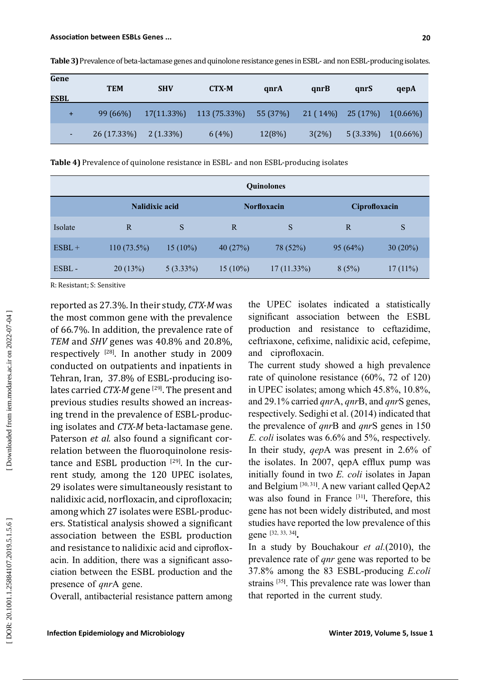| Gene<br>ESBL | <b>TEM</b>  | <b>SHV</b>  | <b>CTX-M</b>                 | qnrA     | qnrB                | qnrS                    | qepA        |
|--------------|-------------|-------------|------------------------------|----------|---------------------|-------------------------|-------------|
| $+$          | 99 (66%)    |             | $17(11.33\%)$ $113(75.33\%)$ | 55 (37%) | $21(14\%)$ 25 (17%) |                         | $1(0.66\%)$ |
| ٠.           | 26 (17.33%) | $2(1.33\%)$ | 6(4%)                        | 12(8%)   | $3(2\%)$            | $5(3.33\%)$ $1(0.66\%)$ |             |

**Table 3)** Prevalence of beta-lactamase genes and quinolone resistance genes in ESBL- and non ESBL-producing isolates.

**Table 4)** Prevalence of quinolone resistance in ESBL- and non ESBL-producing isolates

|          | <b>Quinolones</b>     |             |                    |               |               |            |
|----------|-----------------------|-------------|--------------------|---------------|---------------|------------|
|          | <b>Nalidixic acid</b> |             | <b>Norfloxacin</b> |               | Ciprofloxacin |            |
| Isolate  | R                     | S           | R                  | S             | R             | S          |
| $ESBL +$ | $110(73.5\%)$         | $15(10\%)$  | 40(27%)            | 78 (52%)      | 95(64%)       | 30(20%)    |
| ESBL-    | 20(13%)               | $5(3.33\%)$ | $15(10\%)$         | $17(11.33\%)$ | 8(5%)         | $17(11\%)$ |

R: Resistant; S: Sensitive

reported as 27.3%. In their study, *CTX-M* was the most common gene with the prevalence of 66.7%. In addition, the prevalence rate of *TEM* and *SHV* genes was 40.8% and 20.8%, respectively [28]. In another study in 2009 conducted on outpatients and inpatients in Tehran, Iran, 37.8% of ESBL-producing iso lates carried *CTX-M* gene<sup>[29]</sup>. The present and previous studies results showed an increas ing trend in the prevalence of ESBL-produc ing isolates and *CTX-M* beta-lactamase gene. Paterson et al. also found a significant correlation between the fluoroquinolone resis tance and  $\textsf{ESBL}$  production  $^{[29]}$ . In the current study, among the 120 UPEC isolates, 29 isolates were simultaneously resistant to nalidixic acid, norfloxacin, and ciprofloxacin; among which 27 isolates were ESBL-produc ers. Statistical analysis showed a significant association between the ESBL production and resistance to nalidixic acid and ciproflox acin. In addition, there was a significant asso ciation between the ESBL production and the presence of *qnr*A gene.

Overall, antibacterial resistance pattern among

the UPEC isolates indicated a statistically significant association between the ESBL production and resistance to ceftazidime, ceftriaxone, cefixime, nalidixic acid, cefepime, and ciprofloxacin.

The current study showed a high prevalence rate of quinolone resistance (60%, 72 of 120) in UPEC isolates; among which 45.8%, 10.8%, and 29.1% carried *qnr*A, *qnr*B, and *qnr*S genes, respectively. Sedighi et al. (2014) indicated that the prevalence of *qnr*B and *qnr*S genes in 150 *E. coli* isolates was 6.6% and 5%, respectively. In their study, *qep*A was present in 2.6% of the isolates. In 2007, qepA efflux pump was initially found in two *E. coli* isolates in Japan and Belgium<sup>[30, 31]</sup>. A new variant called QepA2 was also found in France [31 **] .** Therefore, this gene has not been widely distributed, and most studies have reported the low prevalence of this gene [32, 33, 34 **] .**

In a study by Bouchakour *et al.*(2010), the prevalence rate of *qnr* gene was reported to be 37.8% among the 83 ESBL-producing *E.coli* strains <sup>[35]</sup>. This prevalence rate was lower than that reported in the current study.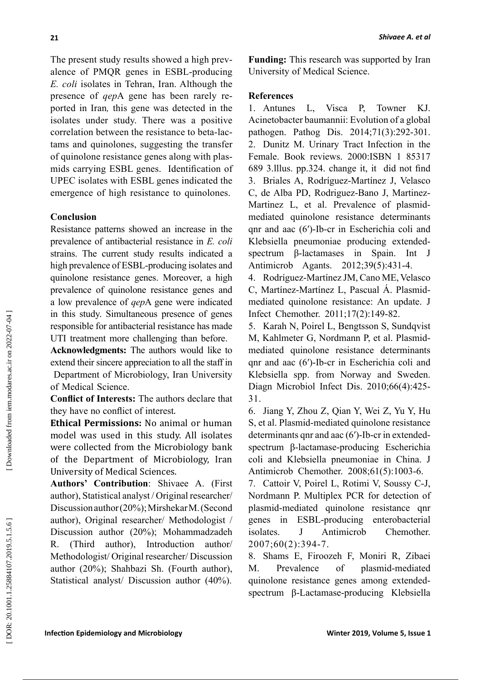The present study results showed a high prev alence of PMQR genes in ESBL-producing *E. coli* isolates in Tehran, Iran. Although the presence of *qep*A gene has been rarely re ported in Iran *,* this gene was detected in the isolates under study. There was a positive correlation between the resistance to beta-lac tams and quinolones, suggesting the transfer of quinolone resistance genes along with plas mids carrying ESBL genes. Identification of UPEC isolates with ESBL genes indicated the emergence of high resistance to quinolones.

# **Conclusion**

Resistance patterns showed an increase in the prevalence of antibacterial resistance in *E. coli* strains. The current study results indicated a high prevalence of ESBL-producing isolates and quinolone resistance genes. Moreover, a high prevalence of quinolone resistance genes and a low prevalence of *qep*A gene were indicated in this study. Simultaneous presence of genes responsible for antibacterial resistance has made UTI treatment more challenging than before.

**Acknowledgments:** The authors would like to extend their sincere appreciation to all the staff in Department of Microbiology, Iran University of Medical Science.

**Conflict of Interests:** The authors declare that they have no conflict of interest .

**Ethical Permissions:** No animal or human model was used in this study. All isolates were collected from the Microbiology bank of the Department of Microbiology, Iran University of Medical Sciences.

**Authors' Contribution**: Shivaee A. (First author), Statistical analyst / Original researcher/ Discussion author (20%); Mirshekar M. (Second author), Original researcher/ Methodologist / Discussion author (20%); Mohammadzadeh R. (Third author), Introduction author/ Methodologist/ Original researcher/ Discussion author (20%); Shahbazi Sh. (Fourth author), Statistical analyst/ Discussion author (40%). **Funding:** This research was supported by Iran University of Medical Science.

### **References**

1. Antunes L, Visca P, Towner KJ. Acinetobacter baumannii: Evolution of a global pathogen. Pathog Dis. 2014;71(3):292-301. 2. Dunitz M. Urinary Tract Infection in the Female. Book reviews. 2000:ISBN 1 85317 689 3.lllus. pp.324. change it, it did not find 3. Briales A, Rodríguez-Martínez J, Velasco C, de Alba PD, Rodriguez-Bano J, Martinez-Martinez L, et al. Prevalence of plasmidmediated quinolone resistance determinants qnr and aac (6′)-Ib-cr in Escherichia coli and Klebsiella pneumoniae producing extendedspectrum  $\beta$ -lactamases in Spain. Int Antimicrob Agants. 2012;39(5):431-4.

4. Rodríguez-Martínez JM, Cano ME, Velasco C, Martínez-Martínez L, Pascual Á. Plasmidmediated quinolone resistance: An update. J Infect Chemother. 2011;17(2):149-82.

5. Karah N, Poirel L, Bengtsson S, Sundqvist M, Kahlmeter G, Nordmann P, et al. Plasmidmediated quinolone resistance determinants qnr and aac (6′)-Ib-cr in Escherichia coli and Klebsiella spp. from Norway and Sweden. Diagn Microbiol Infect Dis. 2010;66(4):425- 31.

6. Jiang Y, Zhou Z, Qian Y, Wei Z, Yu Y, Hu S, et al. Plasmid-mediated quinolone resistance determinants qnr and aac (6′)-Ib-cr in extendedspectrum β-lactamase-producing Escherichia coli and Klebsiella pneumoniae in China. J Antimicrob Chemother. 2008;61(5):1003-6.

7. Cattoir V, Poirel L, Rotimi V, Soussy C-J, Nordmann P. Multiplex PCR for detection of plasmid-mediated quinolone resistance qnr genes in ESBL-producing enterobacterial isolates. J Antimicrob Chemother. 2007;60(2):394-7.

8. Shams E, Firoozeh F, Moniri R, Zibaei M. Prevalence of plasmid-mediated quinolone resistance genes among extendedspectrum β-Lactamase-producing Klebsiella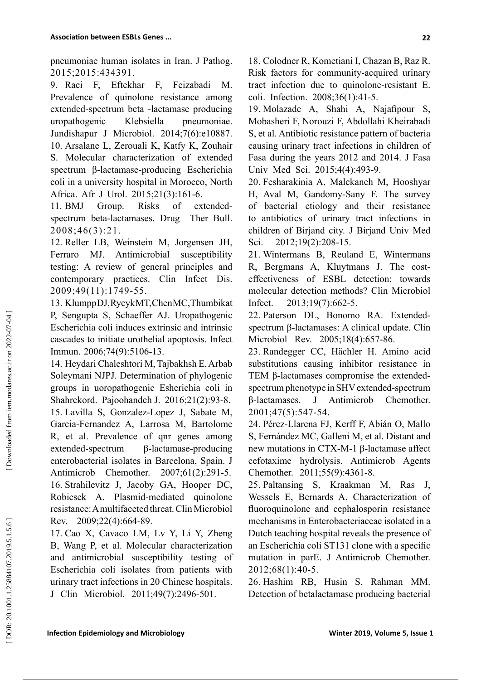pneumoniae human isolates in Iran. J Pathog. 2015;2015:434391.

9. Raei F, Eftekhar F, Feizabadi M. Prevalence of quinolone resistance among extended-spectrum beta -lactamase producing uropathogenic Klebsiella pneumoniae. Jundishapur J Microbiol. 2014;7(6):e10887. 10. Arsalane L, Zerouali K, Katfy K, Zouhair S. Molecular characterization of extended spectrum β-lactamase-producing Escherichia coli in a university hospital in Morocco, North Africa. Afr J Urol. 2015;21(3):161-6.

11. BMJ Group. Risks of extendedspectrum beta-lactamases. Drug Ther Bull. 2008;46(3):21.

12. Reller LB, Weinstein M, Jorgensen JH, Ferraro MJ. Antimicrobial susceptibility testing: A review of general principles and contemporary practices. Clin Infect Dis. 2009;49(11):1749-55.

13. Klumpp DJ, Rycyk MT, Chen MC, Thumbikat P, Sengupta S, Schaeffer AJ. Uropathogenic Escherichia coli induces extrinsic and intrinsic cascades to initiate urothelial apoptosis. Infect Immun. 2006;74(9):5106-13.

14. Heydari Chaleshtori M, Tajbakhsh E, Arbab Soleymani NJPJ. Determination of phylogenic groups in uoropathogenic Esherichia coli in Shahrekord. Pajoohandeh J. 2016;21(2):93-8. 15. Lavilla S, Gonzalez-Lopez J, Sabate M, Garcia-Fernandez A, Larrosa M, Bartolome R, et al. Prevalence of qnr genes among extended-spectrum β-lactamase-producing enterobacterial isolates in Barcelona, Spain. J Antimicrob Chemother. 2007;61(2):291-5. 16. Strahilevitz J, Jacoby GA, Hooper DC, Robicsek A. Plasmid-mediated quinolone resistance: A multifaceted threat. Clin Microbiol Rev. 2009;22(4):664-89.

17. Cao X, Cavaco LM, Lv Y, Li Y, Zheng B, Wang P, et al. Molecular characterization and antimicrobial susceptibility testing of Escherichia coli isolates from patients with urinary tract infections in 20 Chinese hospitals. J Clin Microbiol. 2011;49(7):2496-501.

18. Colodner R, Kometiani I, Chazan B, Raz R. Risk factors for community-acquired urinary tract infection due to quinolone-resistant E. coli. Infection. 2008;36(1):41-5.

19. Molazade A, Shahi A, Najafipour S, Mobasheri F, Norouzi F, Abdollahi Kheirabadi S, et al. Antibiotic resistance pattern of bacteria causing urinary tract infections in children of Fasa during the years 2012 and 2014. J Fasa Univ Med Sci. 2015;4(4):493-9.

20. Fesharakinia A, Malekaneh M, Hooshyar H, Aval M, Gandomy-Sany F. The survey of bacterial etiology and their resistance to antibiotics of urinary tract infections in children of Birjand city. J Birjand Univ Med Sci. 2012;19(2):208-15.

21. Wintermans B, Reuland E, Wintermans R, Bergmans A, Kluytmans J. The costeffectiveness of ESBL detection: towards molecular detection methods? Clin Microbiol Infect. 2013;19(7):662-5.

22. Paterson DL, Bonomo RA. Extendedspectrum β-lactamases: A clinical update. Clin Microbiol Rev. 2005;18(4):657-86.

23. Randegger CC, Hächler H. Amino acid substitutions causing inhibitor resistance in TEM β-lactamases compromise the extendedspectrum phenotype in SHV extended-spectrum β-lactamases. J Antimicrob Chemother. 2001;47(5):547-54.

24. Pérez-Llarena FJ, Kerff F, Abián O, Mallo S, Fernández MC, Galleni M, et al. Distant and new mutations in CTX-M-1 β-lactamase affect cefotaxime hydrolysis. Antimicrob Agents Chemother. 2011;55(9):4361-8.

25. Paltansing S, Kraakman M, Ras J, Wessels E, Bernards A. Characterization of fluoroquinolone and cephalosporin resistance mechanisms in Enterobacteriaceae isolated in a Dutch teaching hospital reveals the presence of an Escherichia coli ST131 clone with a specific mutation in parE. J Antimicrob Chemother. 2012;68(1):40-5.

26. Hashim RB, Husin S, Rahman MM. Detection of betalactamase producing bacterial

DOR: 20.1001.1.25884107.2019.5.1.5.6